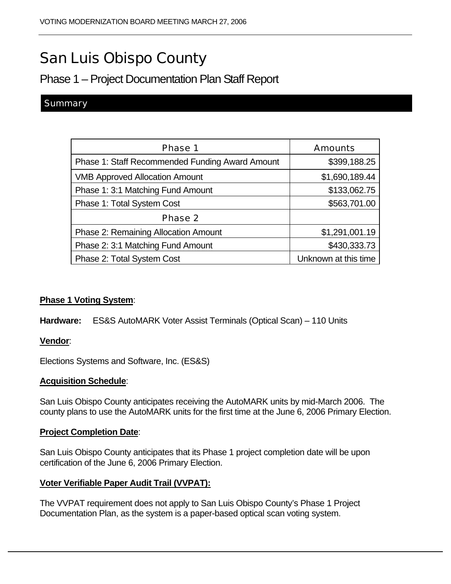# San Luis Obispo County

## Phase 1 – Project Documentation Plan Staff Report

#### **Summary**

| Phase 1                                                | <b>Amounts</b>       |
|--------------------------------------------------------|----------------------|
| <b>Phase 1: Staff Recommended Funding Award Amount</b> | \$399,188.25         |
| <b>VMB Approved Allocation Amount</b>                  | \$1,690,189.44       |
| Phase 1: 3:1 Matching Fund Amount                      | \$133,062.75         |
| Phase 1: Total System Cost                             | \$563,701.00         |
| <b>Phase 2</b>                                         |                      |
| <b>Phase 2: Remaining Allocation Amount</b>            | \$1,291,001.19       |
| Phase 2: 3:1 Matching Fund Amount                      | \$430,333.73         |
| Phase 2: Total System Cost                             | Unknown at this time |

#### **Phase 1 Voting System**:

**Hardware:** ES&S AutoMARK Voter Assist Terminals (Optical Scan) – 110 Units

#### **Vendor**:

Elections Systems and Software, Inc. (ES&S)

#### **Acquisition Schedule**:

San Luis Obispo County anticipates receiving the AutoMARK units by mid-March 2006. The county plans to use the AutoMARK units for the first time at the June 6, 2006 Primary Election.

#### **Project Completion Date**:

San Luis Obispo County anticipates that its Phase 1 project completion date will be upon certification of the June 6, 2006 Primary Election.

#### **Voter Verifiable Paper Audit Trail (VVPAT):**

The VVPAT requirement does not apply to San Luis Obispo County's Phase 1 Project Documentation Plan, as the system is a paper-based optical scan voting system.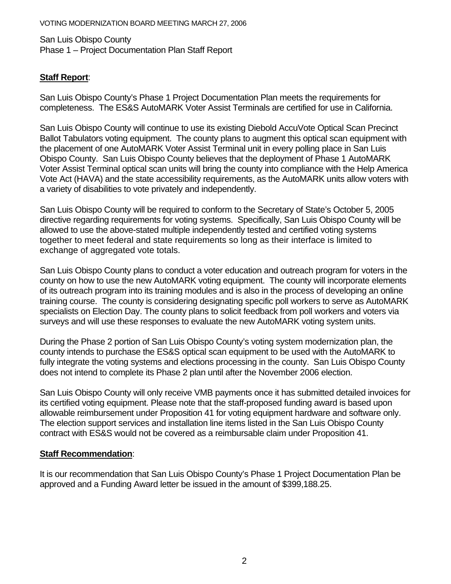VOTING MODERNIZATION BOARD MEETING MARCH 27, 2006

San Luis Obispo County Phase 1 – Project Documentation Plan Staff Report

### **Staff Report**:

San Luis Obispo County's Phase 1 Project Documentation Plan meets the requirements for completeness. The ES&S AutoMARK Voter Assist Terminals are certified for use in California.

San Luis Obispo County will continue to use its existing Diebold AccuVote Optical Scan Precinct Ballot Tabulators voting equipment. The county plans to augment this optical scan equipment with the placement of one AutoMARK Voter Assist Terminal unit in every polling place in San Luis Obispo County. San Luis Obispo County believes that the deployment of Phase 1 AutoMARK Voter Assist Terminal optical scan units will bring the county into compliance with the Help America Vote Act (HAVA) and the state accessibility requirements, as the AutoMARK units allow voters with a variety of disabilities to vote privately and independently.

San Luis Obispo County will be required to conform to the Secretary of State's October 5, 2005 directive regarding requirements for voting systems. Specifically, San Luis Obispo County will be allowed to use the above-stated multiple independently tested and certified voting systems together to meet federal and state requirements so long as their interface is limited to exchange of aggregated vote totals.

San Luis Obispo County plans to conduct a voter education and outreach program for voters in the county on how to use the new AutoMARK voting equipment. The county will incorporate elements of its outreach program into its training modules and is also in the process of developing an online training course. The county is considering designating specific poll workers to serve as AutoMARK specialists on Election Day. The county plans to solicit feedback from poll workers and voters via surveys and will use these responses to evaluate the new AutoMARK voting system units.

During the Phase 2 portion of San Luis Obispo County's voting system modernization plan, the county intends to purchase the ES&S optical scan equipment to be used with the AutoMARK to fully integrate the voting systems and elections processing in the county. San Luis Obispo County does not intend to complete its Phase 2 plan until after the November 2006 election.

San Luis Obispo County will only receive VMB payments once it has submitted detailed invoices for its certified voting equipment. Please note that the staff-proposed funding award is based upon allowable reimbursement under Proposition 41 for voting equipment hardware and software only. The election support services and installation line items listed in the San Luis Obispo County contract with ES&S would not be covered as a reimbursable claim under Proposition 41.

#### **Staff Recommendation**:

It is our recommendation that San Luis Obispo County's Phase 1 Project Documentation Plan be approved and a Funding Award letter be issued in the amount of \$399,188.25.